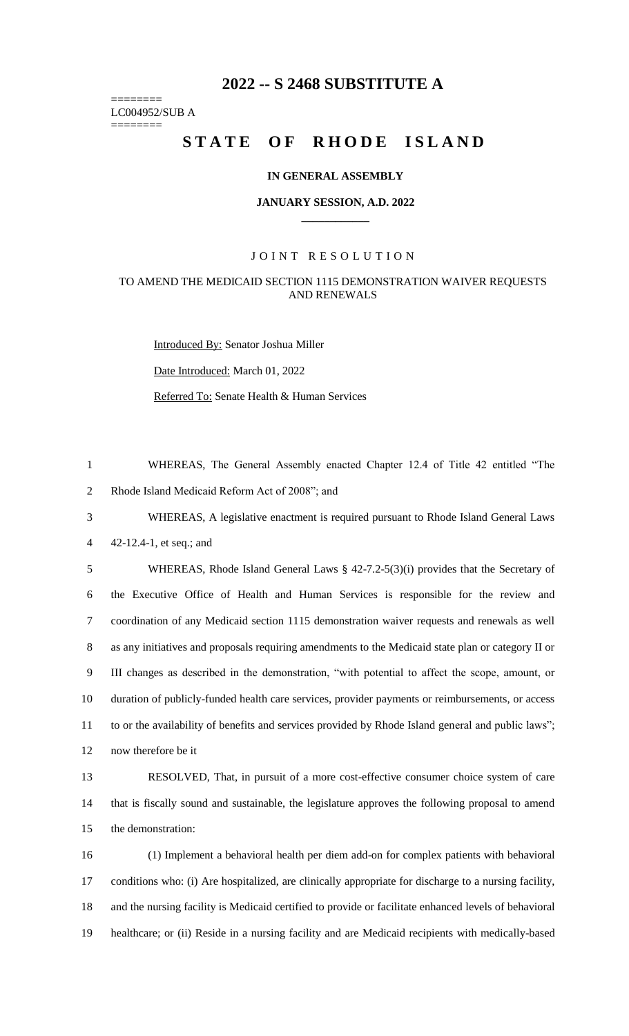# **2022 -- S 2468 SUBSTITUTE A**

======== LC004952/SUB A

========

# STATE OF RHODE ISLAND

#### **IN GENERAL ASSEMBLY**

#### **JANUARY SESSION, A.D. 2022 \_\_\_\_\_\_\_\_\_\_\_\_**

#### JOINT RESOLUTION

## TO AMEND THE MEDICAID SECTION 1115 DEMONSTRATION WAIVER REQUESTS AND RENEWALS

Introduced By: Senator Joshua Miller

Date Introduced: March 01, 2022

Referred To: Senate Health & Human Services

1 WHEREAS, The General Assembly enacted Chapter 12.4 of Title 42 entitled "The 2 Rhode Island Medicaid Reform Act of 2008"; and

3 WHEREAS, A legislative enactment is required pursuant to Rhode Island General Laws 4 42-12.4-1, et seq.; and

 WHEREAS, Rhode Island General Laws § 42-7.2-5(3)(i) provides that the Secretary of the Executive Office of Health and Human Services is responsible for the review and coordination of any Medicaid section 1115 demonstration waiver requests and renewals as well as any initiatives and proposals requiring amendments to the Medicaid state plan or category II or III changes as described in the demonstration, "with potential to affect the scope, amount, or duration of publicly-funded health care services, provider payments or reimbursements, or access 11 to or the availability of benefits and services provided by Rhode Island general and public laws"; now therefore be it

13 RESOLVED, That, in pursuit of a more cost-effective consumer choice system of care 14 that is fiscally sound and sustainable, the legislature approves the following proposal to amend 15 the demonstration:

 (1) Implement a behavioral health per diem add-on for complex patients with behavioral conditions who: (i) Are hospitalized, are clinically appropriate for discharge to a nursing facility, and the nursing facility is Medicaid certified to provide or facilitate enhanced levels of behavioral healthcare; or (ii) Reside in a nursing facility and are Medicaid recipients with medically-based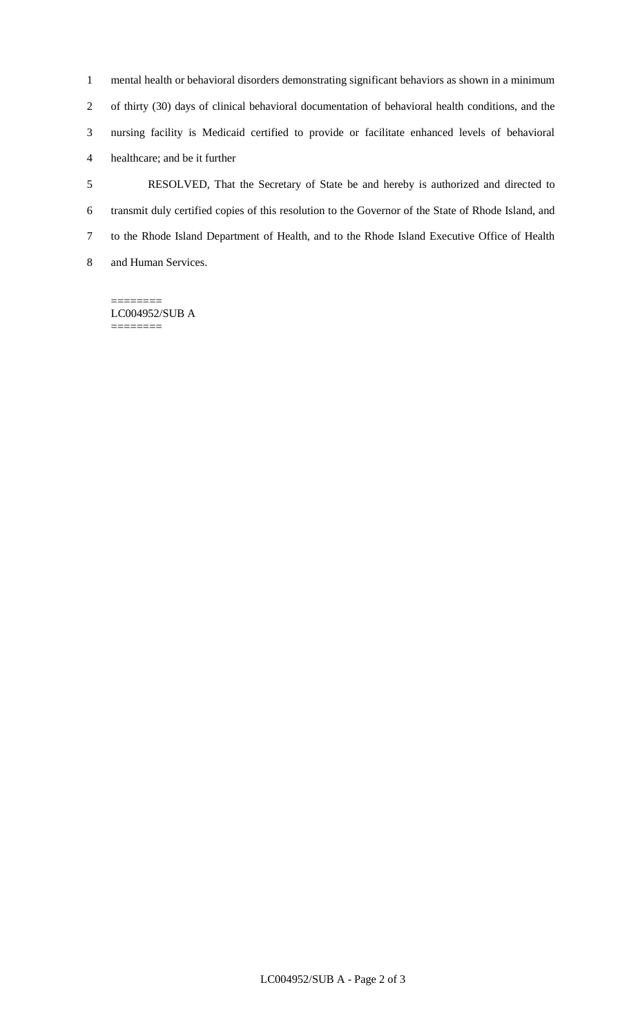mental health or behavioral disorders demonstrating significant behaviors as shown in a minimum of thirty (30) days of clinical behavioral documentation of behavioral health conditions, and the nursing facility is Medicaid certified to provide or facilitate enhanced levels of behavioral healthcare; and be it further

 RESOLVED, That the Secretary of State be and hereby is authorized and directed to transmit duly certified copies of this resolution to the Governor of the State of Rhode Island, and to the Rhode Island Department of Health, and to the Rhode Island Executive Office of Health and Human Services.

======== LC004952/SUB A ========